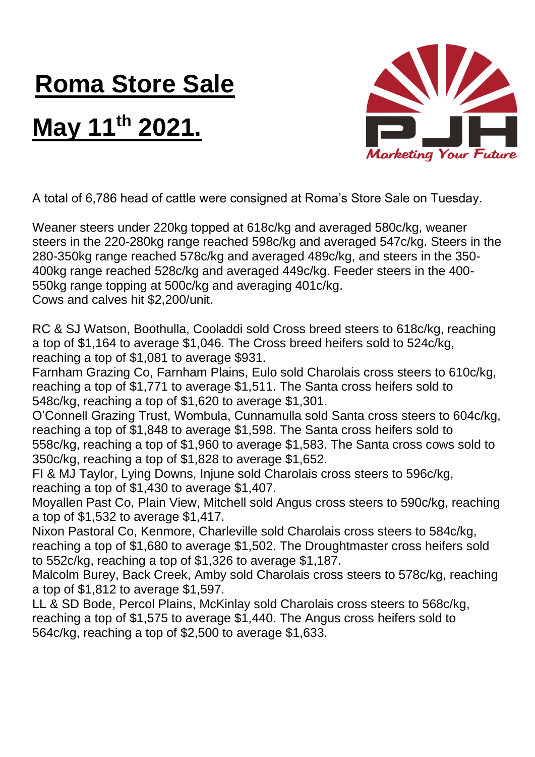## **Roma Store Sale**

## **May 11th 2021.**



A total of 6,786 head of cattle were consigned at Roma's Store Sale on Tuesday.

Weaner steers under 220kg topped at 618c/kg and averaged 580c/kg, weaner steers in the 220-280kg range reached 598c/kg and averaged 547c/kg. Steers in the 280-350kg range reached 578c/kg and averaged 489c/kg, and steers in the 350- 400kg range reached 528c/kg and averaged 449c/kg. Feeder steers in the 400- 550kg range topping at 500c/kg and averaging 401c/kg. Cows and calves hit \$2,200/unit.

RC & SJ Watson, Boothulla, Cooladdi sold Cross breed steers to 618c/kg, reaching a top of \$1,164 to average \$1,046. The Cross breed heifers sold to 524c/kg, reaching a top of \$1,081 to average \$931.

Farnham Grazing Co, Farnham Plains, Eulo sold Charolais cross steers to 610c/kg, reaching a top of \$1,771 to average \$1,511. The Santa cross heifers sold to 548c/kg, reaching a top of \$1,620 to average \$1,301.

O'Connell Grazing Trust, Wombula, Cunnamulla sold Santa cross steers to 604c/kg, reaching a top of \$1,848 to average \$1,598. The Santa cross heifers sold to 558c/kg, reaching a top of \$1,960 to average \$1,583. The Santa cross cows sold to 350c/kg, reaching a top of \$1,828 to average \$1,652.

FI & MJ Taylor, Lying Downs, Injune sold Charolais cross steers to 596c/kg, reaching a top of \$1,430 to average \$1,407.

Moyallen Past Co, Plain View, Mitchell sold Angus cross steers to 590c/kg, reaching a top of \$1,532 to average \$1,417.

Nixon Pastoral Co, Kenmore, Charleville sold Charolais cross steers to 584c/kg, reaching a top of \$1,680 to average \$1,502. The Droughtmaster cross heifers sold to 552c/kg, reaching a top of \$1,326 to average \$1,187.

Malcolm Burey, Back Creek, Amby sold Charolais cross steers to 578c/kg, reaching a top of \$1,812 to average \$1,597.

LL & SD Bode, Percol Plains, McKinlay sold Charolais cross steers to 568c/kg, reaching a top of \$1,575 to average \$1,440. The Angus cross heifers sold to 564c/kg, reaching a top of \$2,500 to average \$1,633.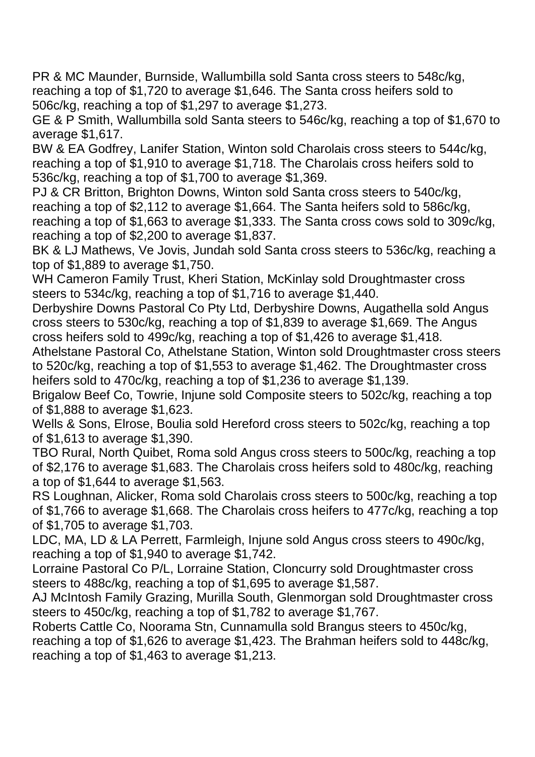PR & MC Maunder, Burnside, Wallumbilla sold Santa cross steers to 548c/kg, reaching a top of \$1,720 to average \$1,646. The Santa cross heifers sold to 506c/kg, reaching a top of \$1,297 to average \$1,273.

GE & P Smith, Wallumbilla sold Santa steers to 546c/kg, reaching a top of \$1,670 to average \$1,617.

BW & EA Godfrey, Lanifer Station, Winton sold Charolais cross steers to 544c/kg, reaching a top of \$1,910 to average \$1,718. The Charolais cross heifers sold to 536c/kg, reaching a top of \$1,700 to average \$1,369.

PJ & CR Britton, Brighton Downs, Winton sold Santa cross steers to 540c/kg, reaching a top of \$2,112 to average \$1,664. The Santa heifers sold to 586c/kg, reaching a top of \$1,663 to average \$1,333. The Santa cross cows sold to 309c/kg, reaching a top of \$2,200 to average \$1,837.

BK & LJ Mathews, Ve Jovis, Jundah sold Santa cross steers to 536c/kg, reaching a top of \$1,889 to average \$1,750.

WH Cameron Family Trust, Kheri Station, McKinlay sold Droughtmaster cross steers to 534c/kg, reaching a top of \$1,716 to average \$1,440.

Derbyshire Downs Pastoral Co Pty Ltd, Derbyshire Downs, Augathella sold Angus cross steers to 530c/kg, reaching a top of \$1,839 to average \$1,669. The Angus cross heifers sold to 499c/kg, reaching a top of \$1,426 to average \$1,418.

Athelstane Pastoral Co, Athelstane Station, Winton sold Droughtmaster cross steers to 520c/kg, reaching a top of \$1,553 to average \$1,462. The Droughtmaster cross heifers sold to 470c/kg, reaching a top of \$1,236 to average \$1,139.

Brigalow Beef Co, Towrie, Injune sold Composite steers to 502c/kg, reaching a top of \$1,888 to average \$1,623.

Wells & Sons, Elrose, Boulia sold Hereford cross steers to 502c/kg, reaching a top of \$1,613 to average \$1,390.

TBO Rural, North Quibet, Roma sold Angus cross steers to 500c/kg, reaching a top of \$2,176 to average \$1,683. The Charolais cross heifers sold to 480c/kg, reaching a top of \$1,644 to average \$1,563.

RS Loughnan, Alicker, Roma sold Charolais cross steers to 500c/kg, reaching a top of \$1,766 to average \$1,668. The Charolais cross heifers to 477c/kg, reaching a top of \$1,705 to average \$1,703.

LDC, MA, LD & LA Perrett, Farmleigh, Injune sold Angus cross steers to 490c/kg, reaching a top of \$1,940 to average \$1,742.

Lorraine Pastoral Co P/L, Lorraine Station, Cloncurry sold Droughtmaster cross steers to 488c/kg, reaching a top of \$1,695 to average \$1,587.

AJ McIntosh Family Grazing, Murilla South, Glenmorgan sold Droughtmaster cross steers to 450c/kg, reaching a top of \$1,782 to average \$1,767.

Roberts Cattle Co, Noorama Stn, Cunnamulla sold Brangus steers to 450c/kg, reaching a top of \$1,626 to average \$1,423. The Brahman heifers sold to 448c/kg, reaching a top of \$1,463 to average \$1,213.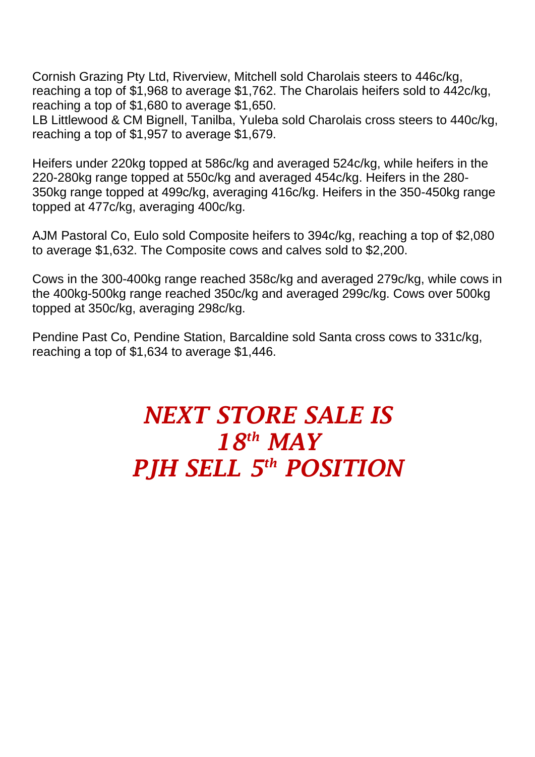Cornish Grazing Pty Ltd, Riverview, Mitchell sold Charolais steers to 446c/kg, reaching a top of \$1,968 to average \$1,762. The Charolais heifers sold to 442c/kg, reaching a top of \$1,680 to average \$1,650.

LB Littlewood & CM Bignell, Tanilba, Yuleba sold Charolais cross steers to 440c/kg, reaching a top of \$1,957 to average \$1,679.

Heifers under 220kg topped at 586c/kg and averaged 524c/kg, while heifers in the 220-280kg range topped at 550c/kg and averaged 454c/kg. Heifers in the 280- 350kg range topped at 499c/kg, averaging 416c/kg. Heifers in the 350-450kg range topped at 477c/kg, averaging 400c/kg.

AJM Pastoral Co, Eulo sold Composite heifers to 394c/kg, reaching a top of \$2,080 to average \$1,632. The Composite cows and calves sold to \$2,200.

Cows in the 300-400kg range reached 358c/kg and averaged 279c/kg, while cows in the 400kg-500kg range reached 350c/kg and averaged 299c/kg. Cows over 500kg topped at 350c/kg, averaging 298c/kg.

Pendine Past Co, Pendine Station, Barcaldine sold Santa cross cows to 331c/kg, reaching a top of \$1,634 to average \$1,446.

## *NEXT STORE SALE IS 18th MAY PJH SELL 5 th POSITION*